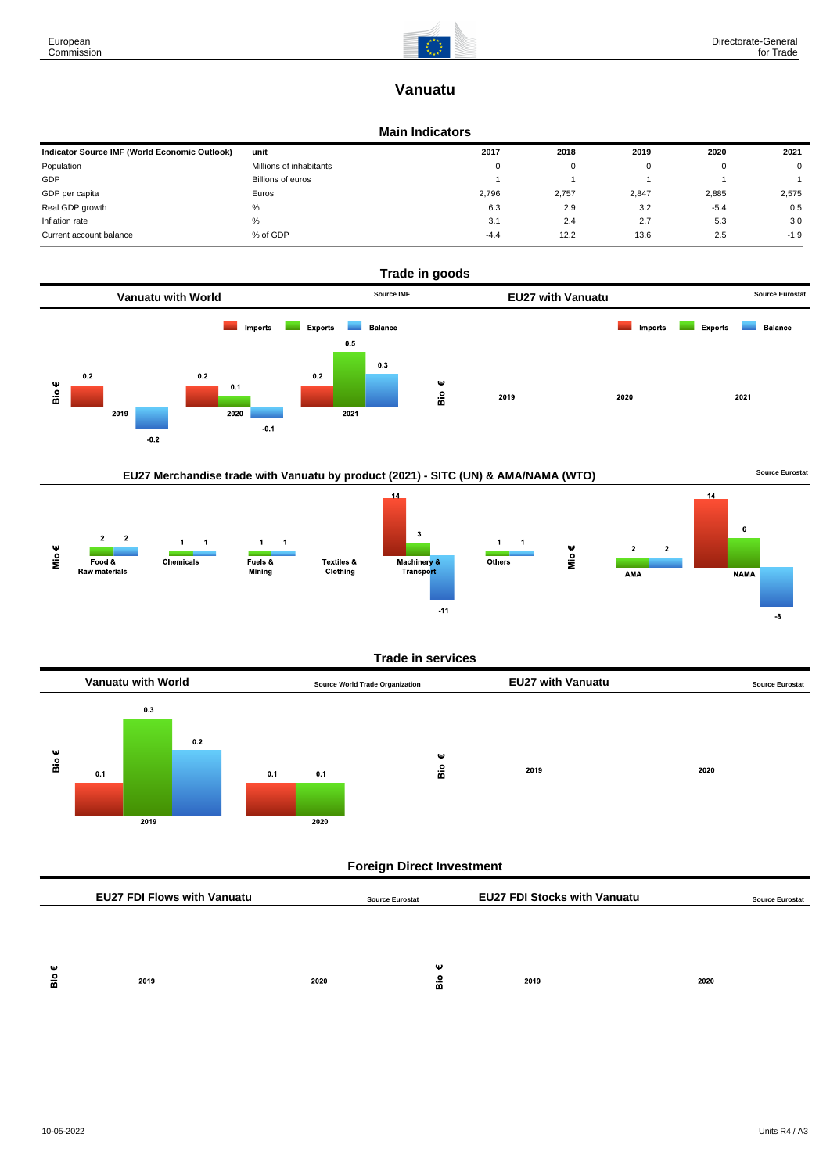# **Vanuatu**

### **Main Indicators**

| Indicator Source IMF (World Economic Outlook) | unit                    | 2017   | 2018  | 2019  | 2020   | 2021   |
|-----------------------------------------------|-------------------------|--------|-------|-------|--------|--------|
| Population                                    | Millions of inhabitants | 0      | 0     |       | O      | 0      |
| GDP                                           | Billions of euros       |        |       |       |        |        |
| GDP per capita                                | Euros                   | 2,796  | 2.757 | 2,847 | 2,885  | 2,575  |
| Real GDP growth                               | %                       | 6.3    | 2.9   | 3.2   | $-5.4$ | 0.5    |
| Inflation rate                                | %                       | 3.1    | 2.4   | 2.7   | 5.3    | 3.0    |
| Current account balance                       | % of GDP                | $-4.4$ | 12.2  | 13.6  | 2.5    | $-1.9$ |



# EU27 Merchandise trade with Vanuatu by product (2021) - SITC (UN) & AMA/NAMA (WTO) **Source Eurostat**



#### **Trade in services**



# **Foreign Direct Investment**

|        | <b>EU27 FDI Flows with Vanuatu</b> |      | <b>Source Eurostat</b> | <b>EU27 FDI Stocks with Vanuatu</b> |      | <b>Source Eurostat</b> |
|--------|------------------------------------|------|------------------------|-------------------------------------|------|------------------------|
|        |                                    |      |                        |                                     |      |                        |
|        |                                    |      |                        |                                     |      |                        |
| Ψ<br>å | 2019                               | 2020 | Ψ<br>å                 | 2019                                | 2020 |                        |